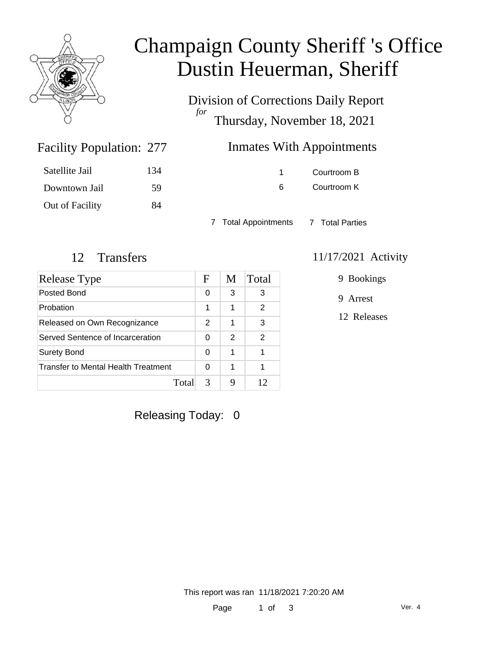

# Champaign County Sheriff 's Office Dustin Heuerman, Sheriff

Division of Corrections Daily Report *for* Thursday, November 18, 2021

## Inmates With Appointments

| Satellite Jail  | 134 |
|-----------------|-----|
| Downtown Jail   | 59  |
| Out of Facility | 84  |

Facility Population: 277

1 Courtroom B 6 Courtroom K

7 Total Appointments 7 Total Parties

| Release Type                        | F             | M             | Total         |
|-------------------------------------|---------------|---------------|---------------|
| Posted Bond                         | 0             | 3             | 3             |
| Probation                           | 1             | 1             | 2             |
| Released on Own Recognizance        | $\mathcal{P}$ | 1             | 3             |
| Served Sentence of Incarceration    | 0             | $\mathcal{P}$ | $\mathcal{P}$ |
| <b>Surety Bond</b>                  | 0             | 1             | 1             |
| Transfer to Mental Health Treatment | 0             | 1             |               |
| Total                               | 3             | Q             | 12            |

#### 12 Transfers 11/17/2021 Activity

9 Bookings

9 Arrest

12 Releases

Releasing Today: 0

This report was ran 11/18/2021 7:20:20 AM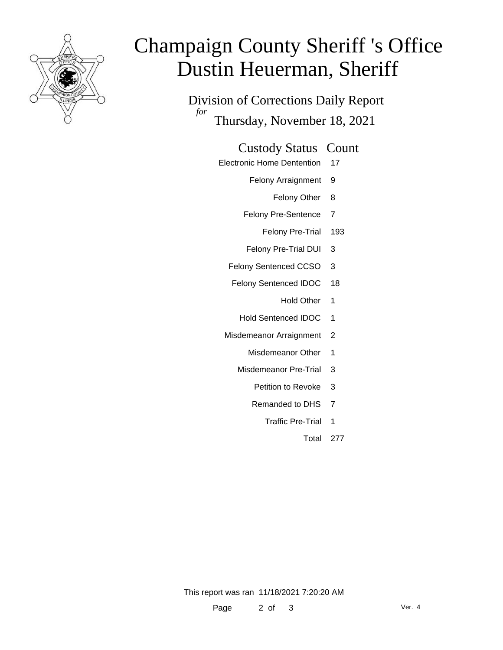

# Champaign County Sheriff 's Office Dustin Heuerman, Sheriff

Division of Corrections Daily Report *for* Thursday, November 18, 2021

#### Custody Status Count

- Electronic Home Dentention 17
	- Felony Arraignment 9
		- Felony Other 8
	- Felony Pre-Sentence 7
		- Felony Pre-Trial 193
	- Felony Pre-Trial DUI 3
	- Felony Sentenced CCSO 3
	- Felony Sentenced IDOC 18
		- Hold Other 1
		- Hold Sentenced IDOC 1
	- Misdemeanor Arraignment 2
		- Misdemeanor Other 1
		- Misdemeanor Pre-Trial 3
			- Petition to Revoke 3
			- Remanded to DHS 7
				- Traffic Pre-Trial 1
					- Total 277